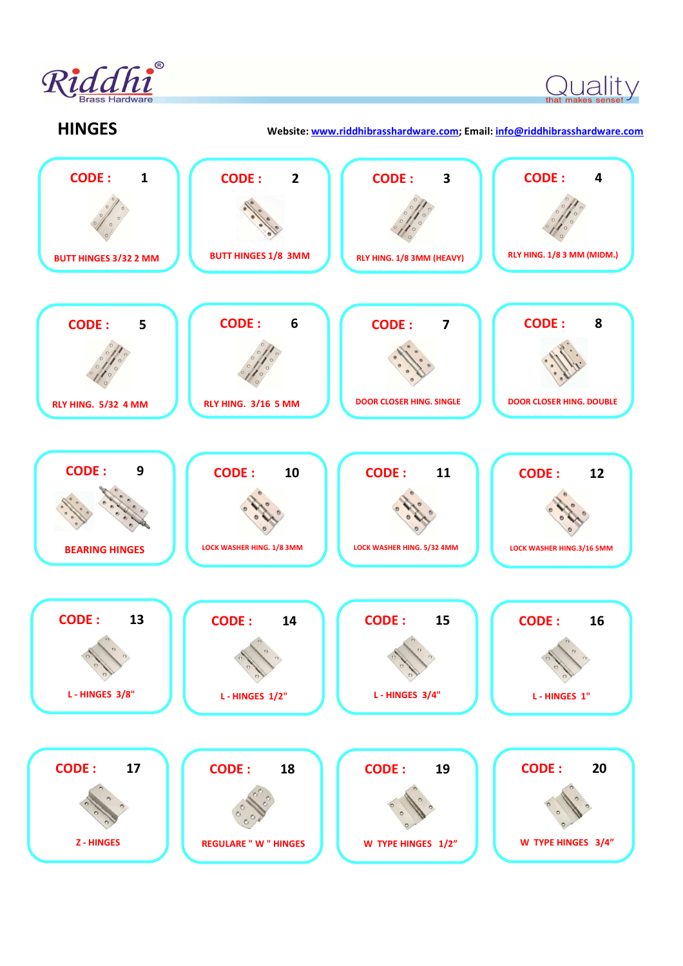

Quality

**HINGES Website: www.riddhibrasshardware.com; Email: info@riddhibrasshardware.com**